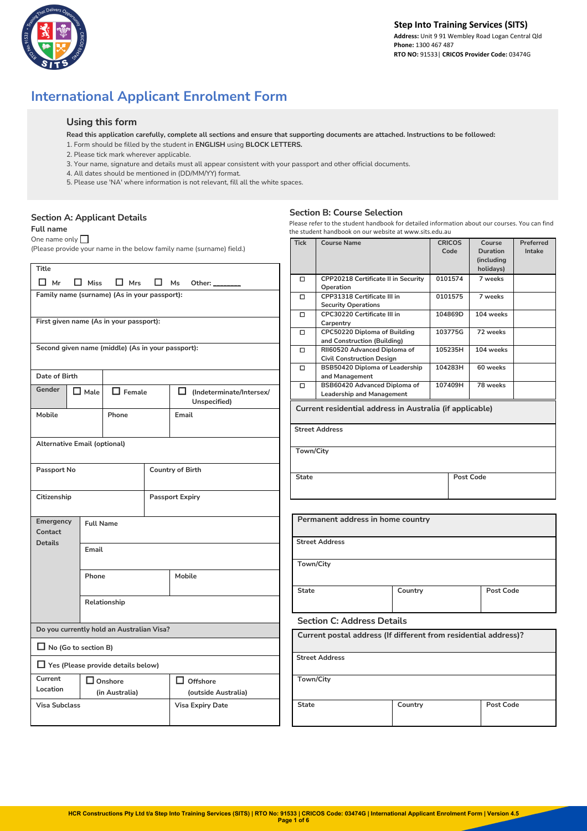

# **International Applicant Enrolment Form**

## **Using this form**

- **Read this application carefully, complete all sections and ensure that supporting documents are attached. Instructions to be followed:**
- 1. Form should be filled by the student in **ENGLISH** using **BLOCK LETTERS.**
- 2. Please tick mark wherever applicable.
- 3. Your name, signature and details must all appear consistent with your passport and other official documents.
- 4. All dates should be mentioned in (DD/MM/YY) format.
- 5. Please use 'NA' where information is not relevant, fill all the white spaces.

# **Section A: Applicant Details**

#### **Full name**

One name only  $\Box$ 

(Please provide your name in the below family name (surname) field.)

|                                     |                  |                                              |                                                   |              |                                                                |         |           | (Including       |  |
|-------------------------------------|------------------|----------------------------------------------|---------------------------------------------------|--------------|----------------------------------------------------------------|---------|-----------|------------------|--|
| <b>Title</b>                        |                  |                                              |                                                   |              |                                                                |         | holidays) |                  |  |
| $\Box$ Mr                           |                  |                                              |                                                   | $\Box$       | CPP20218 Certificate II in Security                            |         | 0101574   | 7 weeks          |  |
|                                     | $\Box$ Miss      | $\Box$ Mrs                                   | Ms<br>Other: $\Box$                               |              | Operation                                                      |         |           |                  |  |
|                                     |                  | Family name (surname) (As in your passport): |                                                   | $\Box$       | CPP31318 Certificate III in                                    |         | 0101575   | 7 weeks          |  |
|                                     |                  |                                              |                                                   |              | <b>Security Operations</b>                                     |         |           |                  |  |
|                                     |                  |                                              |                                                   | $\Box$       | CPC30220 Certificate III in                                    |         | 104869D   | 104 weeks        |  |
|                                     |                  | First given name (As in your passport):      |                                                   |              | Carpentry                                                      |         |           |                  |  |
|                                     |                  |                                              |                                                   | $\Box$       | CPC50220 Diploma of Building                                   |         | 103775G   | 72 weeks         |  |
|                                     |                  |                                              |                                                   |              | and Construction (Building)                                    |         |           |                  |  |
|                                     |                  |                                              | Second given name (middle) (As in your passport): | □            | RII60520 Advanced Diploma of                                   |         | 105235H   | 104 weeks        |  |
|                                     |                  |                                              |                                                   |              | <b>Civil Construction Design</b>                               |         |           |                  |  |
|                                     |                  |                                              |                                                   | $\Box$       | BSB50420 Diploma of Leadership                                 |         | 104283H   | 60 weeks         |  |
| Date of Birth                       |                  |                                              |                                                   |              | and Management                                                 |         |           |                  |  |
| Gender                              |                  |                                              |                                                   | $\Box$       | BSB60420 Advanced Diploma of                                   |         | 107409H   | 78 weeks         |  |
|                                     | $\Box$ Male      | $\Box$ Female                                | □<br>(Indeterminate/Intersex/                     |              | <b>Leadership and Management</b>                               |         |           |                  |  |
|                                     |                  |                                              | Unspecified)                                      |              |                                                                |         |           |                  |  |
| Mobile                              |                  | Phone                                        | Email                                             |              | Current residential address in Australia (if applicable)       |         |           |                  |  |
|                                     |                  |                                              |                                                   |              |                                                                |         |           |                  |  |
|                                     |                  |                                              |                                                   |              | <b>Street Address</b>                                          |         |           |                  |  |
|                                     |                  |                                              |                                                   |              |                                                                |         |           |                  |  |
| <b>Alternative Email (optional)</b> |                  |                                              |                                                   |              | Town/City                                                      |         |           |                  |  |
|                                     |                  |                                              |                                                   |              |                                                                |         |           |                  |  |
| Passport No                         |                  |                                              | Country of Birth                                  |              |                                                                |         |           |                  |  |
|                                     |                  |                                              |                                                   | <b>State</b> |                                                                |         | Post Code |                  |  |
|                                     |                  |                                              |                                                   |              |                                                                |         |           |                  |  |
| Citizenship                         |                  |                                              | <b>Passport Expiry</b>                            |              |                                                                |         |           |                  |  |
|                                     |                  |                                              |                                                   |              |                                                                |         |           |                  |  |
|                                     |                  |                                              |                                                   |              |                                                                |         |           |                  |  |
| Emergency                           | <b>Full Name</b> |                                              |                                                   |              | Permanent address in home country                              |         |           |                  |  |
| Contact                             |                  |                                              |                                                   |              |                                                                |         |           |                  |  |
| <b>Details</b>                      |                  |                                              |                                                   |              | <b>Street Address</b>                                          |         |           |                  |  |
|                                     | Email            |                                              |                                                   |              |                                                                |         |           |                  |  |
|                                     |                  |                                              |                                                   |              |                                                                |         |           |                  |  |
|                                     |                  | Mobile                                       |                                                   |              | Town/City                                                      |         |           |                  |  |
|                                     | Phone            |                                              |                                                   |              |                                                                |         |           |                  |  |
|                                     |                  |                                              |                                                   |              |                                                                |         |           |                  |  |
|                                     |                  |                                              |                                                   | <b>State</b> |                                                                | Country |           | <b>Post Code</b> |  |
|                                     |                  | Relationship                                 |                                                   |              |                                                                |         |           |                  |  |
|                                     |                  |                                              |                                                   |              |                                                                |         |           |                  |  |
|                                     |                  |                                              |                                                   |              | <b>Section C: Address Details</b>                              |         |           |                  |  |
|                                     |                  | Do you currently hold an Australian Visa?    |                                                   |              |                                                                |         |           |                  |  |
|                                     |                  |                                              |                                                   |              | Current postal address (If different from residential address) |         |           |                  |  |
| $\Box$ No (Go to section B)         |                  |                                              |                                                   |              |                                                                |         |           |                  |  |
|                                     |                  |                                              |                                                   |              | <b>Street Address</b>                                          |         |           |                  |  |
|                                     |                  | $\Box$ Yes (Please provide details below)    |                                                   |              |                                                                |         |           |                  |  |
| Current                             |                  | $\Box$ Onshore                               | $\Box$ Offshore                                   |              | Town/City                                                      |         |           |                  |  |
| Location                            |                  |                                              |                                                   |              |                                                                |         |           |                  |  |
|                                     |                  | (in Australia)                               | (outside Australia)                               |              |                                                                |         |           |                  |  |
| <b>Visa Subclass</b>                |                  |                                              | <b>Visa Expiry Date</b>                           | <b>State</b> |                                                                | Country |           | <b>Post Code</b> |  |
|                                     |                  |                                              |                                                   |              |                                                                |         |           |                  |  |
|                                     |                  |                                              |                                                   |              |                                                                |         |           |                  |  |

## **Section B: Course Selection**

Please refer to the student handbook for detailed information about our courses. You can find the student handbook on our website at www.sits.edu.au

| Tick         | <b>Course Name</b>                                              |           | <b>CRICOS</b><br>Code | Course<br>Duration<br>(including<br>holidays) | Preferred<br>Intake |  |  |  |
|--------------|-----------------------------------------------------------------|-----------|-----------------------|-----------------------------------------------|---------------------|--|--|--|
| □            | CPP20218 Certificate II in Security<br>Operation                |           | 0101574               | 7 weeks                                       |                     |  |  |  |
| П            | CPP31318 Certificate III in                                     |           | 0101575               | 7 weeks                                       |                     |  |  |  |
|              | <b>Security Operations</b><br>CPC30220 Certificate III in       |           | 104869D               | 104 weeks                                     |                     |  |  |  |
| □            | Carpentry                                                       |           |                       |                                               |                     |  |  |  |
| □            | CPC50220 Diploma of Building                                    |           | 103775G               | 72 weeks                                      |                     |  |  |  |
|              | and Construction (Building)                                     |           |                       |                                               |                     |  |  |  |
| о            | RII60520 Advanced Diploma of                                    |           | 105235H               | 104 weeks                                     |                     |  |  |  |
|              | <b>Civil Construction Design</b>                                |           |                       |                                               |                     |  |  |  |
| $\Box$       | BSB50420 Diploma of Leadership<br>and Management                |           | 104283H               | 60 weeks                                      |                     |  |  |  |
| □            | BSB60420 Advanced Diploma of                                    |           | 107409H               | 78 weeks                                      |                     |  |  |  |
|              | <b>Leadership and Management</b>                                |           |                       |                                               |                     |  |  |  |
|              | Current residential address in Australia (if applicable)        |           |                       |                                               |                     |  |  |  |
|              | <b>Street Address</b>                                           |           |                       |                                               |                     |  |  |  |
| Town/City    |                                                                 |           |                       |                                               |                     |  |  |  |
|              |                                                                 |           |                       |                                               |                     |  |  |  |
| <b>State</b> |                                                                 | Post Code |                       |                                               |                     |  |  |  |
|              |                                                                 |           |                       |                                               |                     |  |  |  |
|              | Permanent address in home country                               |           |                       |                                               |                     |  |  |  |
|              |                                                                 |           |                       |                                               |                     |  |  |  |
|              | <b>Street Address</b>                                           |           |                       |                                               |                     |  |  |  |
| Town/City    |                                                                 |           |                       |                                               |                     |  |  |  |
|              |                                                                 |           |                       |                                               |                     |  |  |  |
| <b>State</b> | Country                                                         |           |                       | <b>Post Code</b>                              |                     |  |  |  |
|              | <b>Section C: Address Details</b>                               |           |                       |                                               |                     |  |  |  |
|              | Current postal address (If different from residential address)? |           |                       |                                               |                     |  |  |  |
|              | <b>Street Address</b>                                           |           |                       |                                               |                     |  |  |  |
|              | Town/City                                                       |           |                       |                                               |                     |  |  |  |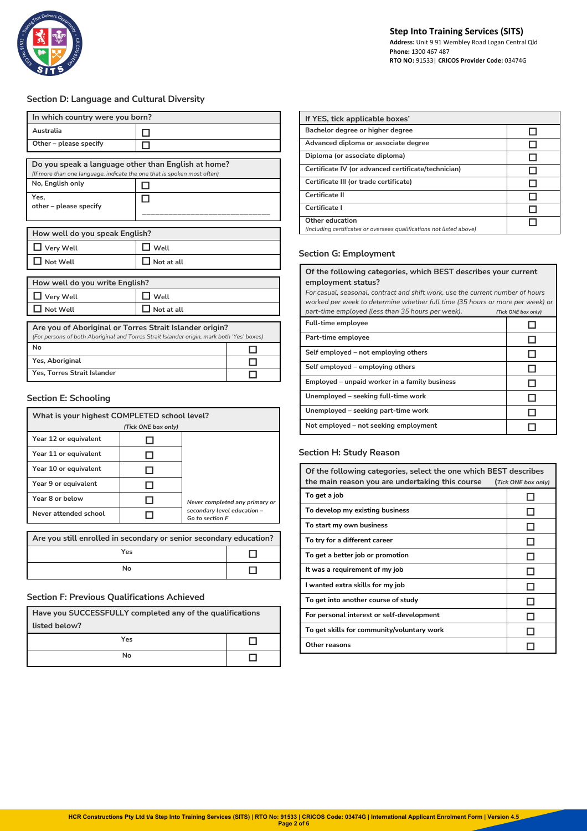

## **Section D: Language and Cultural Diversity**

| In which country were you born?                                                                                                                      |            |  |  |  |  |  |
|------------------------------------------------------------------------------------------------------------------------------------------------------|------------|--|--|--|--|--|
| Australia                                                                                                                                            |            |  |  |  |  |  |
| Other - please specify                                                                                                                               |            |  |  |  |  |  |
| Do you speak a language other than English at home?<br>(If more than one language, indicate the one that is spoken most often)                       |            |  |  |  |  |  |
| No, English only                                                                                                                                     |            |  |  |  |  |  |
| Yes.<br>other - please specify                                                                                                                       |            |  |  |  |  |  |
| How well do you speak English?                                                                                                                       |            |  |  |  |  |  |
| Very Well                                                                                                                                            | Well       |  |  |  |  |  |
| Not Well                                                                                                                                             | Not at all |  |  |  |  |  |
| How well do you write English?                                                                                                                       |            |  |  |  |  |  |
| Very Well                                                                                                                                            | Well       |  |  |  |  |  |
| Not Well                                                                                                                                             | Not at all |  |  |  |  |  |
| Are you of Aboriginal or Torres Strait Islander origin?<br>(For persons of both Aboriginal and Torres Strait Islander origin, mark both 'Yes' boxes) |            |  |  |  |  |  |
| No                                                                                                                                                   |            |  |  |  |  |  |
| Yes, Aboriginal                                                                                                                                      |            |  |  |  |  |  |
| Yes, Torres Strait Islander                                                                                                                          |            |  |  |  |  |  |

## **Section E: Schooling**

| What is your highest COMPLETED school level?                       |                     |                                                                                  |  |  |  |
|--------------------------------------------------------------------|---------------------|----------------------------------------------------------------------------------|--|--|--|
|                                                                    | (Tick ONE box only) |                                                                                  |  |  |  |
| Year 12 or equivalent                                              |                     |                                                                                  |  |  |  |
| Year 11 or equivalent                                              |                     |                                                                                  |  |  |  |
| Year 10 or equivalent                                              |                     |                                                                                  |  |  |  |
| Year 9 or equivalent                                               |                     |                                                                                  |  |  |  |
| Year 8 or below                                                    |                     | Never completed any primary or<br>secondary level education -<br>Go to section F |  |  |  |
| Never attended school                                              |                     |                                                                                  |  |  |  |
|                                                                    |                     |                                                                                  |  |  |  |
| Are you still enrolled in secondary or senior secondary education? |                     |                                                                                  |  |  |  |
| Yes                                                                |                     |                                                                                  |  |  |  |

## **Section F: Previous Qualifications Achieved**

| Have you SUCCESSFULLY completed any of the qualifications |  |  |  |  |  |
|-----------------------------------------------------------|--|--|--|--|--|
| listed below?                                             |  |  |  |  |  |
| Yes                                                       |  |  |  |  |  |
| N٥                                                        |  |  |  |  |  |

**No** □

| If YES, tick applicable boxes'                                                          |  |  |  |  |  |
|-----------------------------------------------------------------------------------------|--|--|--|--|--|
| Bachelor degree or higher degree                                                        |  |  |  |  |  |
| Advanced diploma or associate degree                                                    |  |  |  |  |  |
| Diploma (or associate diploma)                                                          |  |  |  |  |  |
| Certificate IV (or advanced certificate/technician)                                     |  |  |  |  |  |
| Certificate III (or trade certificate)                                                  |  |  |  |  |  |
| Certificate II                                                                          |  |  |  |  |  |
| Certificate I                                                                           |  |  |  |  |  |
| Other education<br>(Including certificates or overseas qualifications not listed above) |  |  |  |  |  |

# **Section G: Employment**

#### **Of the following categories, which BEST describes your current employment status?**

*For casual, seasonal, contract and shift work, use the current number of hours worked per week to determine whether full time (35 hours or more per week) or part-time employed (less than 35 hours per week). (Tick ONE box only)*

| <b>Full-time employee</b>                     |  |
|-----------------------------------------------|--|
| Part-time employee                            |  |
| Self employed – not employing others          |  |
| Self employed – employing others              |  |
| Employed – unpaid worker in a family business |  |
| Unemployed – seeking full-time work           |  |
| Unemployed – seeking part-time work           |  |
| Not employed - not seeking employment         |  |

## **Section H: Study Reason**

| Of the following categories, select the one which BEST describes |                     |  |  |  |  |
|------------------------------------------------------------------|---------------------|--|--|--|--|
| the main reason you are undertaking this course                  | (Tick ONE box only) |  |  |  |  |
| To get a job                                                     |                     |  |  |  |  |
| To develop my existing business                                  |                     |  |  |  |  |
| To start my own business                                         |                     |  |  |  |  |
| To try for a different career                                    |                     |  |  |  |  |
| To get a better job or promotion                                 |                     |  |  |  |  |
| It was a requirement of my job                                   |                     |  |  |  |  |
| I wanted extra skills for my job                                 |                     |  |  |  |  |
| To get into another course of study                              |                     |  |  |  |  |
| For personal interest or self-development                        |                     |  |  |  |  |
| To get skills for community/voluntary work                       |                     |  |  |  |  |
| Other reasons                                                    |                     |  |  |  |  |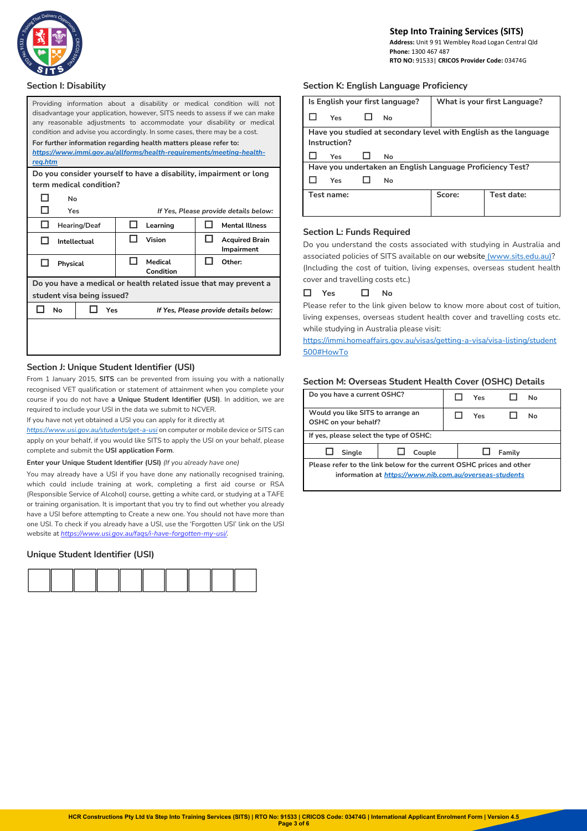

 **Phone:** 1300 467 487  **RTO NO:** 91533| **CRICOS Provider Code:** 03474G

#### **Section I: Disability**

| Providing information about a disability or medical condition will not<br>disadvantage your application, however, SITS needs to assess if we can make<br>any reasonable adjustments to accommodate your disability or medical<br>condition and advise you accordingly. In some cases, there may be a cost. |                     |  |                                                                      |     |                                                                   |  |
|------------------------------------------------------------------------------------------------------------------------------------------------------------------------------------------------------------------------------------------------------------------------------------------------------------|---------------------|--|----------------------------------------------------------------------|-----|-------------------------------------------------------------------|--|
|                                                                                                                                                                                                                                                                                                            |                     |  | For further information regarding health matters please refer to:    |     |                                                                   |  |
| reg.htm                                                                                                                                                                                                                                                                                                    |                     |  | https://www.immi.gov.au/allforms/health-requirements/meeting-health- |     |                                                                   |  |
| term medical condition?                                                                                                                                                                                                                                                                                    |                     |  |                                                                      |     | Do you consider yourself to have a disability, impairment or long |  |
| No                                                                                                                                                                                                                                                                                                         |                     |  |                                                                      |     |                                                                   |  |
| <b>Talent</b><br>Yes                                                                                                                                                                                                                                                                                       |                     |  |                                                                      |     | If Yes, Please provide details below:                             |  |
| П                                                                                                                                                                                                                                                                                                          | <b>Hearing/Deaf</b> |  | Learning                                                             | I I | <b>Mental Illness</b>                                             |  |
| П<br>Intellectual                                                                                                                                                                                                                                                                                          |                     |  | Vision                                                               | H   | <b>Acquired Brain</b><br>Impairment                               |  |
| ы<br>Physical                                                                                                                                                                                                                                                                                              |                     |  | Medical<br>Condition                                                 |     | Other:                                                            |  |
|                                                                                                                                                                                                                                                                                                            |                     |  |                                                                      |     | Do you have a medical or health related issue that may prevent a  |  |
| student visa being issued?                                                                                                                                                                                                                                                                                 |                     |  |                                                                      |     |                                                                   |  |
| No<br>Yes<br>If Yes, Please provide details below:                                                                                                                                                                                                                                                         |                     |  |                                                                      |     |                                                                   |  |
|                                                                                                                                                                                                                                                                                                            |                     |  |                                                                      |     |                                                                   |  |

#### **Section J: Unique Student Identifier (USI)**

From 1 January 2015, **SITS** can be prevented from issuing you with a nationally recognised VET qualification or statement of attainment when you complete your course if you do not have **a Unique Student Identifier (USI)**. In addition, we are required to include your USI in the data we submit to NCVER.

If you have not yet obtained a USI you can apply for it directly at

*https://www.usi.gov.au/students/get-a-usi* on computer or mobile device or SITS can apply on your behalf, if you would like SITS to apply the USI on your behalf, please complete and submit the **USI application Form**.

#### **Enter your Unique Student Identifier (USI)** *(If you already have one)*

You may already have a USI if you have done any nationally recognised training, which could include training at work, completing a first aid course or RSA (Responsible Service of Alcohol) course, getting a white card, or studying at a TAFE or training organisation. It is important that you try to find out whether you already have a USI before attempting to Create a new one. You should not have more than one USI. To check if you already have a USI, use the 'Forgotten USI' link on the USI website at *https://www.usi.gov.au/faqs/i-have-forgotten-my-usi/.*

## **Unique Student Identifier (USI)**



## **Section K: English Language Proficiency**

| Is English your first language? |              |  |    |                                                           | What is your first Language?                                     |
|---------------------------------|--------------|--|----|-----------------------------------------------------------|------------------------------------------------------------------|
|                                 | Yes          |  | No |                                                           |                                                                  |
|                                 |              |  |    |                                                           | Have you studied at secondary level with English as the language |
|                                 | Instruction? |  |    |                                                           |                                                                  |
|                                 | Yes          |  | No |                                                           |                                                                  |
|                                 |              |  |    | Have you undertaken an English Language Proficiency Test? |                                                                  |
| Yes<br>No                       |              |  |    |                                                           |                                                                  |
|                                 | Test name:   |  |    | Score:                                                    | Test date:                                                       |
|                                 |              |  |    |                                                           |                                                                  |

#### **Section L: Funds Required**

Do you understand the costs associated with studying in Australia and associated policies of SITS available on our website (www.sits.edu.au)? (Including the cost of tuition, living expenses, overseas student health cover and travelling costs etc.)

## ☐ **Yes** ☐ **No**

Please refer to the link given below to know more about cost of tuition, living expenses, overseas student health cover and travelling costs etc. while studying in Australia please visit:

https://immi.homeaffairs.gov.au/visas/getting-a-visa/visa-listing/student 500#HowTo

## **Section M: Overseas Student Health Cover (OSHC) Details**

| Do you have a current OSHC?                                          |                                                         |  | Yes | Nο     |  |  |  |  |
|----------------------------------------------------------------------|---------------------------------------------------------|--|-----|--------|--|--|--|--|
| Would you like SITS to arrange an<br>OSHC on your behalf?            |                                                         |  | Yes | N٥     |  |  |  |  |
| If yes, please select the type of OSHC:                              |                                                         |  |     |        |  |  |  |  |
| Single                                                               | Couple                                                  |  |     | Family |  |  |  |  |
| Please refer to the link below for the current OSHC prices and other |                                                         |  |     |        |  |  |  |  |
|                                                                      | information at https://www.nib.com.au/overseas-students |  |     |        |  |  |  |  |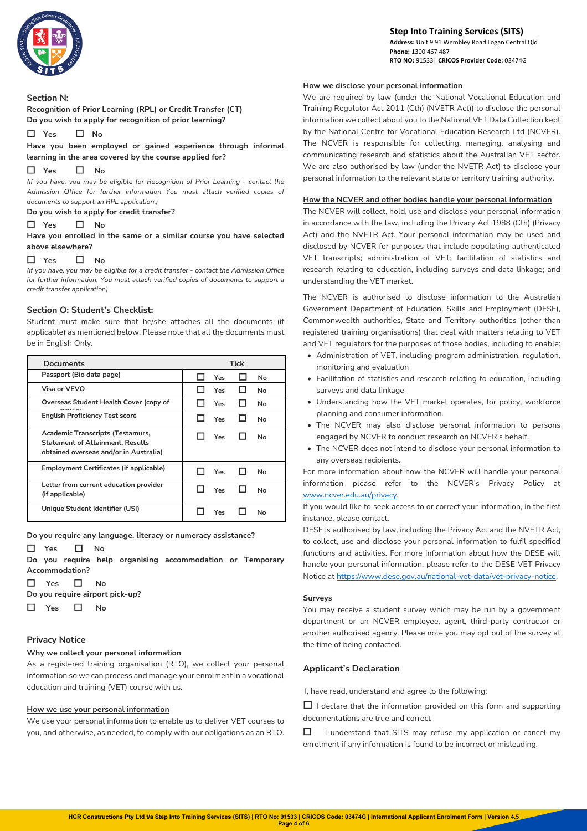

#### **Step Into Training Services (SITS) Address:** Unit 9 91 Wembley Road Logan Central Qld  **Phone:** 1300 467 487  **RTO NO:** 91533| **CRICOS Provider Code:** 03474G

#### **Section N:**

**Recognition of Prior Learning (RPL) or Credit Transfer (CT) Do you wish to apply for recognition of prior learning?** 

☐ **Yes** ☐ **No** 

**Have you been employed or gained experience through informal learning in the area covered by the course applied for?**

## ☐ **Yes** ☐ **No**

*(If you have, you may be eligible for Recognition of Prior Learning - contact the Admission Office for further information You must attach verified copies of documents to support an RPL application.)*

#### **Do you wish to apply for credit transfer?**

#### ☐ **Yes** ☐ **No**

**Have you enrolled in the same or a similar course you have selected above elsewhere?**

## ☐ **Yes** ☐ **No**

*(If you have, you may be eligible for a credit transfer - contact the Admission Office for further information. You must attach verified copies of documents to support a credit transfer application)*

## **Section O: Student's Checklist:**

Student must make sure that he/she attaches all the documents (if applicable) as mentioned below. Please note that all the documents must be in English Only.

| <b>Documents</b>                                                                                                             | <b>Tick</b> |
|------------------------------------------------------------------------------------------------------------------------------|-------------|
| Passport (Bio data page)                                                                                                     | Yes<br>No   |
| Visa or VEVO                                                                                                                 | Yes<br>No.  |
| Overseas Student Health Cover (copy of                                                                                       | Yes<br>No.  |
| <b>English Proficiency Test score</b>                                                                                        | No<br>Yes   |
| <b>Academic Transcripts (Testamurs,</b><br><b>Statement of Attainment, Results</b><br>obtained overseas and/or in Australia) | Yes<br>No   |
| Employment Certificates (if applicable)                                                                                      | Yes<br>No   |
| Letter from current education provider<br>(if applicable)                                                                    | Yes<br>No   |
| Unique Student Identifier (USI)                                                                                              | Υρς<br>N٥   |

**Do you require any language, literacy or numeracy assistance?** 

☐ **Yes** ☐ **No**

**Do you require help organising accommodation or Temporary Accommodation?** 

```
☐ Yes ☐ No
```
**Do you require airport pick-up?** 

☐ **Yes** ☐ **No**

## **Privacy Notice**

## **Why we collect your personal information**

As a registered training organisation (RTO), we collect your personal information so we can process and manage your enrolment in a vocational education and training (VET) course with us.

#### **How we use your personal information**

We use your personal information to enable us to deliver VET courses to you, and otherwise, as needed, to comply with our obligations as an RTO.

#### **How we disclose your personal information**

We are required by law (under the National Vocational Education and Training Regulator Act 2011 (Cth) (NVETR Act)) to disclose the personal information we collect about you to the National VET Data Collection kept by the National Centre for Vocational Education Research Ltd (NCVER). The NCVER is responsible for collecting, managing, analysing and communicating research and statistics about the Australian VET sector. We are also authorised by law (under the NVETR Act) to disclose your personal information to the relevant state or territory training authority.

#### **How the NCVER and other bodies handle your personal information**

The NCVER will collect, hold, use and disclose your personal information in accordance with the law, including the Privacy Act 1988 (Cth) (Privacy Act) and the NVETR Act. Your personal information may be used and disclosed by NCVER for purposes that include populating authenticated VET transcripts; administration of VET; facilitation of statistics and research relating to education, including surveys and data linkage; and understanding the VET market.

The NCVER is authorised to disclose information to the Australian Government Department of Education, Skills and Employment (DESE), Commonwealth authorities, State and Territory authorities (other than registered training organisations) that deal with matters relating to VET and VET regulators for the purposes of those bodies, including to enable:

- Administration of VET, including program administration, regulation, monitoring and evaluation
- Facilitation of statistics and research relating to education, including surveys and data linkage
- Understanding how the VET market operates, for policy, workforce planning and consumer information.
- The NCVER may also disclose personal information to persons engaged by NCVER to conduct research on NCVER's behalf.
- The NCVER does not intend to disclose your personal information to any overseas recipients.

For more information about how the NCVER will handle your personal information please refer to the NCVER's Privacy Policy at www.ncver.edu.au/privacy.

If you would like to seek access to or correct your information, in the first instance, please contact.

DESE is authorised by law, including the Privacy Act and the NVETR Act, to collect, use and disclose your personal information to fulfil specified functions and activities. For more information about how the DESE will handle your personal information, please refer to the DESE VET Privacy Notice at https://www.dese.gov.au/national-vet-data/vet-privacy-notice.

#### **Surveys**

You may receive a student survey which may be run by a government department or an NCVER employee, agent, third-party contractor or another authorised agency. Please note you may opt out of the survey at the time of being contacted.

## **Applicant's Declaration**

I, have read, understand and agree to the following:

 $\Box$  I declare that the information provided on this form and supporting documentations are true and correct

☐I understand that SITS may refuse my application or cancel my enrolment if any information is found to be incorrect or misleading.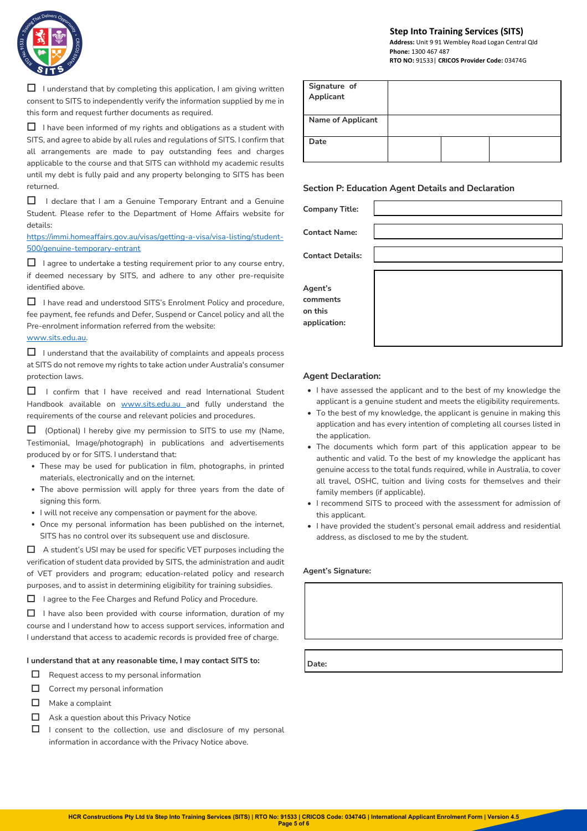

 $\Box$  I understand that by completing this application, I am giving written consent to SITS to independently verify the information supplied by me in this form and request further documents as required.

☐I have been informed of my rights and obligations as a student with SITS, and agree to abide by all rules and regulations of SITS. I confirm that all arrangements are made to pay outstanding fees and charges applicable to the course and that SITS can withhold my academic results until my debt is fully paid and any property belonging to SITS has been returned.

□ I declare that I am a Genuine Temporary Entrant and a Genuine Student. Please refer to the Department of Home Affairs website for details:

https://immi.homeaffairs.gov.au/visas/getting-a-visa/visa-listing/student-500/genuine-temporary-entrant

 $\Box$  I agree to undertake a testing requirement prior to any course entry, if deemed necessary by SITS, and adhere to any other pre-requisite identified above.

☐ I have read and understood SITS's Enrolment Policy and procedure, fee payment, fee refunds and Defer, Suspend or Cancel policy and all the Pre-enrolment information referred from the website: www.sits.edu.au.

 $\Box$  I understand that the availability of complaints and appeals process at SITS do not remove my rights to take action under Australia's consumer protection laws.

□ I confirm that I have received and read International Student Handbook available on www.sits.edu.au and fully understand the requirements of the course and relevant policies and procedures.

□ (Optional) I hereby give my permission to SITS to use my (Name, Testimonial, Image/photograph) in publications and advertisements produced by or for SITS. I understand that:

- These may be used for publication in film, photographs, in printed materials, electronically and on the internet.
- The above permission will apply for three years from the date of signing this form.
- I will not receive any compensation or payment for the above.
- Once my personal information has been published on the internet, SITS has no control over its subsequent use and disclosure.

☐A student's USI may be used for specific VET purposes including the verification of student data provided by SITS, the administration and audit of VET providers and program; education-related policy and research purposes, and to assist in determining eligibility for training subsidies.

☐I agree to the Fee Charges and Refund Policy and Procedure.

☐I have also been provided with course information, duration of my course and I understand how to access support services, information and I understand that access to academic records is provided free of charge.

#### **I understand that at any reasonable time, I may contact SITS to:**

- $\Box$  Request access to my personal information
- $\Box$  Correct my personal information
- □ Make a complaint
- $\Box$  Ask a question about this Privacy Notice
- $\Box$  I consent to the collection, use and disclosure of my personal information in accordance with the Privacy Notice above.

#### **Step Into Training Services (SITS) Address:** Unit 9 91 Wembley Road Logan Central Qld

 **Phone:** 1300 467 487  **RTO NO:** 91533| **CRICOS Provider Code:** 03474G

| Signature of<br>Applicant |  |  |
|---------------------------|--|--|
| <b>Name of Applicant</b>  |  |  |
| Date                      |  |  |

## **Section P: Education Agent Details and Declaration**

| <b>Company Title:</b>   |  |
|-------------------------|--|
|                         |  |
| <b>Contact Name:</b>    |  |
|                         |  |
| <b>Contact Details:</b> |  |
|                         |  |
| Agent's                 |  |
| comments                |  |
| on this                 |  |
| application:            |  |
|                         |  |
|                         |  |

#### **Agent Declaration:**

- I have assessed the applicant and to the best of my knowledge the applicant is a genuine student and meets the eligibility requirements.
- To the best of my knowledge, the applicant is genuine in making this application and has every intention of completing all courses listed in the application.
- The documents which form part of this application appear to be authentic and valid. To the best of my knowledge the applicant has genuine access to the total funds required, while in Australia, to cover all travel, OSHC, tuition and living costs for themselves and their family members (if applicable).
- I recommend SITS to proceed with the assessment for admission of this applicant.
- I have provided the student's personal email address and residential address, as disclosed to me by the student.

#### **Agent's Signature:**

 **Date:**